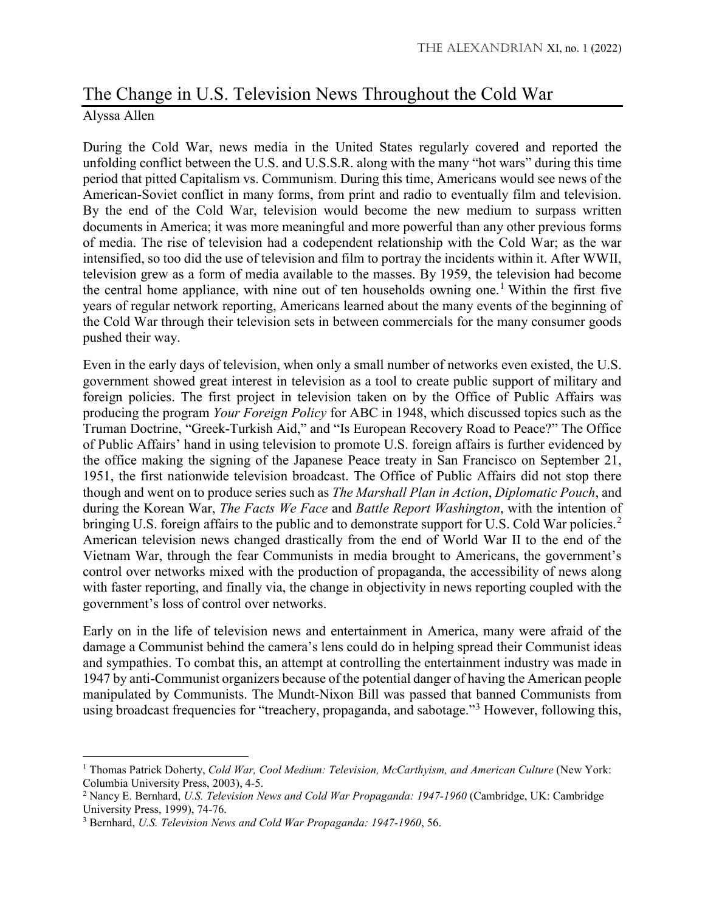## The Change in U.S. Television News Throughout the Cold War Alyssa Allen

During the Cold War, news media in the United States regularly covered and reported the unfolding conflict between the U.S. and U.S.S.R. along with the many "hot wars" during this time period that pitted Capitalism vs. Communism. During this time, Americans would see news of the American-Soviet conflict in many forms, from print and radio to eventually film and television. By the end of the Cold War, television would become the new medium to surpass written documents in America; it was more meaningful and more powerful than any other previous forms of media. The rise of television had a codependent relationship with the Cold War; as the war intensified, so too did the use of television and film to portray the incidents within it. After WWII, television grew as a form of media available to the masses. By 1959, the television had become the central home appliance, with nine out of ten households owning one.<sup>[1](#page-0-0)</sup> Within the first five years of regular network reporting, Americans learned about the many events of the beginning of the Cold War through their television sets in between commercials for the many consumer goods pushed their way.

Even in the early days of television, when only a small number of networks even existed, the U.S. government showed great interest in television as a tool to create public support of military and foreign policies. The first project in television taken on by the Office of Public Affairs was producing the program *Your Foreign Policy* for ABC in 1948, which discussed topics such as the Truman Doctrine, "Greek-Turkish Aid," and "Is European Recovery Road to Peace?" The Office of Public Affairs' hand in using television to promote U.S. foreign affairs is further evidenced by the office making the signing of the Japanese Peace treaty in San Francisco on September 21, 1951, the first nationwide television broadcast. The Office of Public Affairs did not stop there though and went on to produce series such as *The Marshall Plan in Action*, *Diplomatic Pouch*, and during the Korean War, *The Facts We Face* and *Battle Report Washington*, with the intention of bringing U.S. foreign affairs to the public and to demonstrate support for U.S. Cold War policies.<sup>[2](#page-0-1)</sup> American television news changed drastically from the end of World War II to the end of the Vietnam War, through the fear Communists in media brought to Americans, the government's control over networks mixed with the production of propaganda, the accessibility of news along with faster reporting, and finally via, the change in objectivity in news reporting coupled with the government's loss of control over networks.

Early on in the life of television news and entertainment in America, many were afraid of the damage a Communist behind the camera's lens could do in helping spread their Communist ideas and sympathies. To combat this, an attempt at controlling the entertainment industry was made in 1947 by anti-Communist organizers because of the potential danger of having the American people manipulated by Communists. The Mundt-Nixon Bill was passed that banned Communists from using broadcast frequencies for "treachery, propaganda, and sabotage."[3](#page-0-2) However, following this,

 $\overline{\phantom{a}}$ 

<span id="page-0-0"></span><sup>1</sup> Thomas Patrick Doherty, *Cold War, Cool Medium: Television, McCarthyism, and American Culture* (New York: Columbia University Press, 2003), 4-5.

<span id="page-0-1"></span><sup>2</sup> Nancy E. Bernhard, *U.S. Television News and Cold War Propaganda: 1947-1960* (Cambridge, UK: Cambridge University Press, 1999), 74-76.

<span id="page-0-2"></span><sup>3</sup> Bernhard, *U.S. Television News and Cold War Propaganda: 1947-1960*, 56.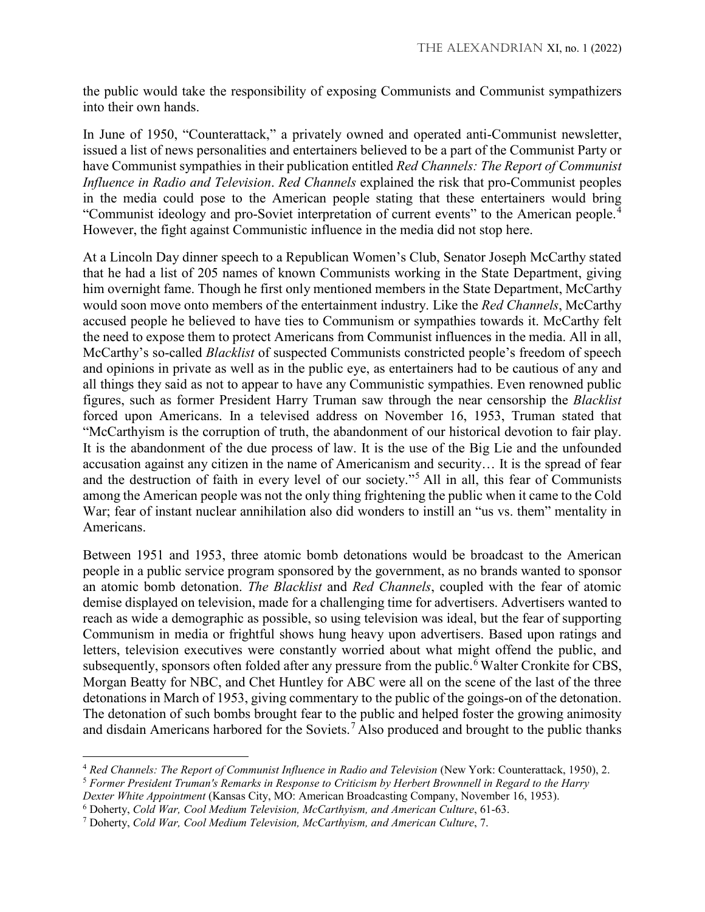the public would take the responsibility of exposing Communists and Communist sympathizers into their own hands.

In June of 1950, "Counterattack," a privately owned and operated anti-Communist newsletter, issued a list of news personalities and entertainers believed to be a part of the Communist Party or have Communist sympathies in their publication entitled *Red Channels: The Report of Communist Influence in Radio and Television*. *Red Channels* explained the risk that pro-Communist peoples in the media could pose to the American people stating that these entertainers would bring "Communist ideology and pro-Soviet interpretation of current events" to the American people.[4](#page-1-0) However, the fight against Communistic influence in the media did not stop here.

At a Lincoln Day dinner speech to a Republican Women's Club, Senator Joseph McCarthy stated that he had a list of 205 names of known Communists working in the State Department, giving him overnight fame. Though he first only mentioned members in the State Department, McCarthy would soon move onto members of the entertainment industry. Like the *Red Channels*, McCarthy accused people he believed to have ties to Communism or sympathies towards it. McCarthy felt the need to expose them to protect Americans from Communist influences in the media. All in all, McCarthy's so-called *Blacklist* of suspected Communists constricted people's freedom of speech and opinions in private as well as in the public eye, as entertainers had to be cautious of any and all things they said as not to appear to have any Communistic sympathies. Even renowned public figures, such as former President Harry Truman saw through the near censorship the *Blacklist* forced upon Americans. In a televised address on November 16, 1953, Truman stated that "McCarthyism is the corruption of truth, the abandonment of our historical devotion to fair play. It is the abandonment of the due process of law. It is the use of the Big Lie and the unfounded accusation against any citizen in the name of Americanism and security… It is the spread of fear and the destruction of faith in every level of our society."[5](#page-1-1) All in all, this fear of Communists among the American people was not the only thing frightening the public when it came to the Cold War; fear of instant nuclear annihilation also did wonders to instill an "us vs. them" mentality in Americans.

Between 1951 and 1953, three atomic bomb detonations would be broadcast to the American people in a public service program sponsored by the government, as no brands wanted to sponsor an atomic bomb detonation. *The Blacklist* and *Red Channels*, coupled with the fear of atomic demise displayed on television, made for a challenging time for advertisers. Advertisers wanted to reach as wide a demographic as possible, so using television was ideal, but the fear of supporting Communism in media or frightful shows hung heavy upon advertisers. Based upon ratings and letters, television executives were constantly worried about what might offend the public, and subsequently, sponsors often folded after any pressure from the public.<sup> $\bar{6}$  $\bar{6}$  $\bar{6}$ </sup> Walter Cronkite for CBS, Morgan Beatty for NBC, and Chet Huntley for ABC were all on the scene of the last of the three detonations in March of 1953, giving commentary to the public of the goings-on of the detonation. The detonation of such bombs brought fear to the public and helped foster the growing animosity and disdain Americans harbored for the Soviets.<sup>[7](#page-1-3)</sup> Also produced and brought to the public thanks

 $\overline{\phantom{a}}$ 

<span id="page-1-0"></span><sup>4</sup> *Red Channels: The Report of Communist Influence in Radio and Television* (New York: Counterattack, 1950), 2.

<span id="page-1-1"></span><sup>5</sup> *Former President Truman's Remarks in Response to Criticism by Herbert Brownnell in Regard to the Harry* 

*Dexter White Appointment* (Kansas City, MO: American Broadcasting Company, November 16, 1953).

<span id="page-1-2"></span><sup>6</sup> Doherty, *Cold War, Cool Medium Television, McCarthyism, and American Culture*, 61-63.

<span id="page-1-3"></span><sup>7</sup> Doherty, *Cold War, Cool Medium Television, McCarthyism, and American Culture*, 7.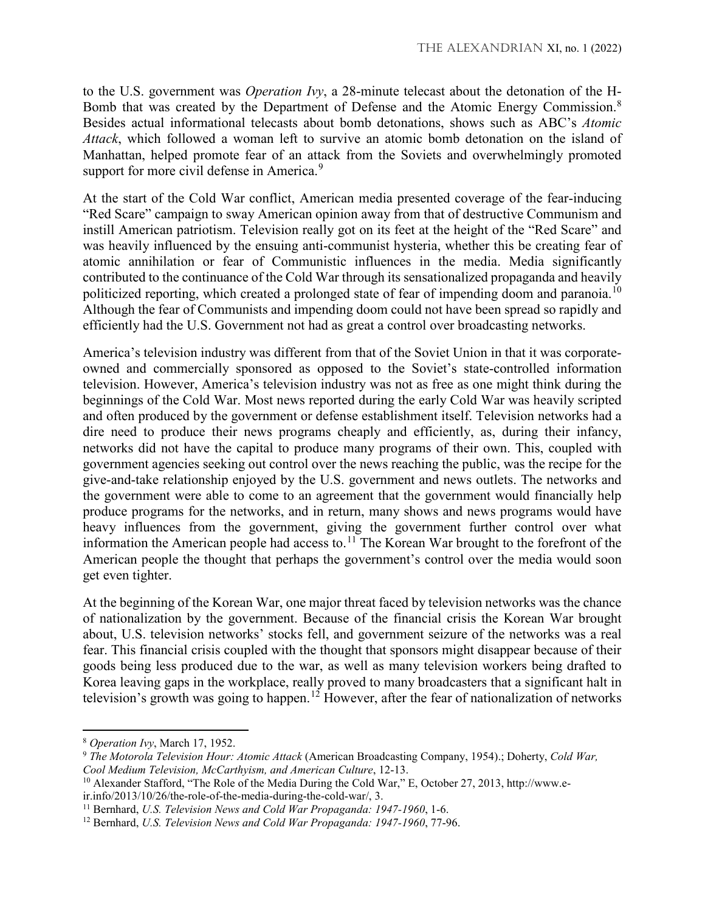to the U.S. government was *Operation Ivy*, a 28-minute telecast about the detonation of the H-Bomb that was created by the Department of Defense and the Atomic Energy Commission.<sup>[8](#page-2-0)</sup> Besides actual informational telecasts about bomb detonations, shows such as ABC's *Atomic Attack*, which followed a woman left to survive an atomic bomb detonation on the island of Manhattan, helped promote fear of an attack from the Soviets and overwhelmingly promoted support for more civil defense in America.<sup>[9](#page-2-1)</sup>

At the start of the Cold War conflict, American media presented coverage of the fear-inducing "Red Scare" campaign to sway American opinion away from that of destructive Communism and instill American patriotism. Television really got on its feet at the height of the "Red Scare" and was heavily influenced by the ensuing anti-communist hysteria, whether this be creating fear of atomic annihilation or fear of Communistic influences in the media. Media significantly contributed to the continuance of the Cold War through its sensationalized propaganda and heavily politicized reporting, which created a prolonged state of fear of impending doom and paranoia.<sup>[10](#page-2-2)</sup> Although the fear of Communists and impending doom could not have been spread so rapidly and efficiently had the U.S. Government not had as great a control over broadcasting networks.

America's television industry was different from that of the Soviet Union in that it was corporateowned and commercially sponsored as opposed to the Soviet's state-controlled information television. However, America's television industry was not as free as one might think during the beginnings of the Cold War. Most news reported during the early Cold War was heavily scripted and often produced by the government or defense establishment itself. Television networks had a dire need to produce their news programs cheaply and efficiently, as, during their infancy, networks did not have the capital to produce many programs of their own. This, coupled with government agencies seeking out control over the news reaching the public, was the recipe for the give-and-take relationship enjoyed by the U.S. government and news outlets. The networks and the government were able to come to an agreement that the government would financially help produce programs for the networks, and in return, many shows and news programs would have heavy influences from the government, giving the government further control over what information the American people had access to.<sup>[11](#page-2-3)</sup> The Korean War brought to the forefront of the American people the thought that perhaps the government's control over the media would soon get even tighter.

At the beginning of the Korean War, one major threat faced by television networks was the chance of nationalization by the government. Because of the financial crisis the Korean War brought about, U.S. television networks' stocks fell, and government seizure of the networks was a real fear. This financial crisis coupled with the thought that sponsors might disappear because of their goods being less produced due to the war, as well as many television workers being drafted to Korea leaving gaps in the workplace, really proved to many broadcasters that a significant halt in television's growth was going to happen.<sup>[12](#page-2-4)</sup> However, after the fear of nationalization of networks

l

ir.info/2013/10/26/the-role-of-the-media-during-the-cold-war/, 3.

<span id="page-2-0"></span><sup>8</sup> *Operation Ivy*, March 17, 1952.

<span id="page-2-1"></span><sup>9</sup> *The Motorola Television Hour: Atomic Attack* (American Broadcasting Company, 1954).; Doherty, *Cold War, Cool Medium Television, McCarthyism, and American Culture*, 12-13.

<span id="page-2-2"></span><sup>10</sup> Alexander Stafford, "The Role of the Media During the Cold War," E, October 27, 2013, http://www.e-

<span id="page-2-3"></span><sup>11</sup> Bernhard, *U.S. Television News and Cold War Propaganda: 1947-1960*, 1-6.

<span id="page-2-4"></span><sup>12</sup> Bernhard, *U.S. Television News and Cold War Propaganda: 1947-1960*, 77-96.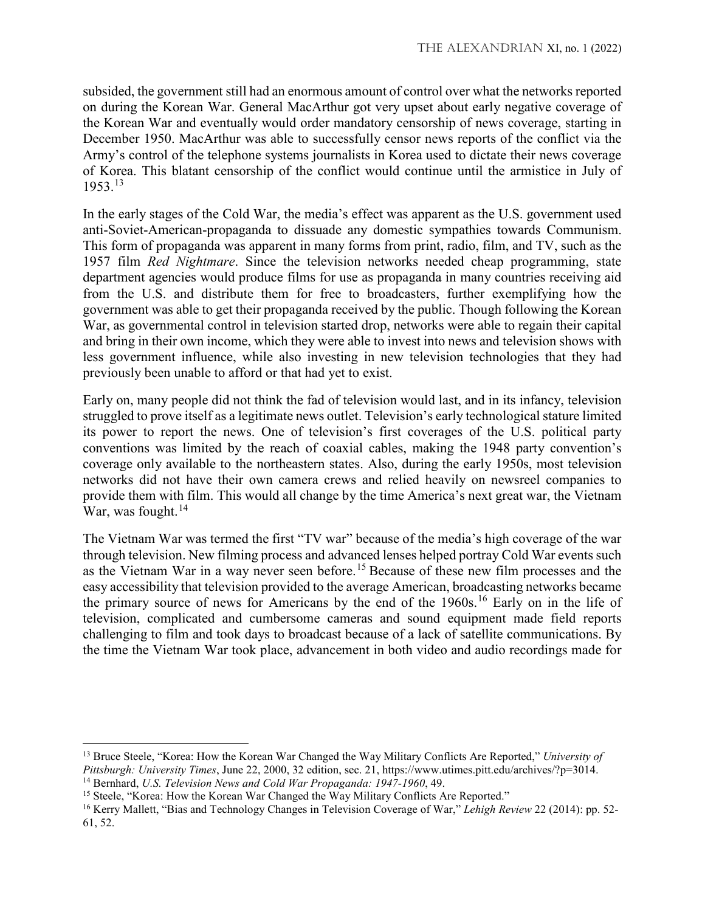subsided, the government still had an enormous amount of control over what the networks reported on during the Korean War. General MacArthur got very upset about early negative coverage of the Korean War and eventually would order mandatory censorship of news coverage, starting in December 1950. MacArthur was able to successfully censor news reports of the conflict via the Army's control of the telephone systems journalists in Korea used to dictate their news coverage of Korea. This blatant censorship of the conflict would continue until the armistice in July of 1953.[13](#page-3-0)

In the early stages of the Cold War, the media's effect was apparent as the U.S. government used anti-Soviet-American-propaganda to dissuade any domestic sympathies towards Communism. This form of propaganda was apparent in many forms from print, radio, film, and TV, such as the 1957 film *Red Nightmare*. Since the television networks needed cheap programming, state department agencies would produce films for use as propaganda in many countries receiving aid from the U.S. and distribute them for free to broadcasters, further exemplifying how the government was able to get their propaganda received by the public. Though following the Korean War, as governmental control in television started drop, networks were able to regain their capital and bring in their own income, which they were able to invest into news and television shows with less government influence, while also investing in new television technologies that they had previously been unable to afford or that had yet to exist.

Early on, many people did not think the fad of television would last, and in its infancy, television struggled to prove itself as a legitimate news outlet. Television's early technological stature limited its power to report the news. One of television's first coverages of the U.S. political party conventions was limited by the reach of coaxial cables, making the 1948 party convention's coverage only available to the northeastern states. Also, during the early 1950s, most television networks did not have their own camera crews and relied heavily on newsreel companies to provide them with film. This would all change by the time America's next great war, the Vietnam War, was fought. $14$ 

The Vietnam War was termed the first "TV war" because of the media's high coverage of the war through television. New filming process and advanced lenses helped portray Cold War events such as the Vietnam War in a way never seen before.<sup>[15](#page-3-2)</sup> Because of these new film processes and the easy accessibility that television provided to the average American, broadcasting networks became the primary source of news for Americans by the end of the 1960s.<sup>[16](#page-3-3)</sup> Early on in the life of television, complicated and cumbersome cameras and sound equipment made field reports challenging to film and took days to broadcast because of a lack of satellite communications. By the time the Vietnam War took place, advancement in both video and audio recordings made for

 $\overline{a}$ 

<span id="page-3-0"></span><sup>13</sup> Bruce Steele, "Korea: How the Korean War Changed the Way Military Conflicts Are Reported," *University of Pittsburgh: University Times*, June 22, 2000, 32 edition, sec. 21, https://www.utimes.pitt.edu/archives/?p=3014. <sup>14</sup> Bernhard, *U.S. Television News and Cold War Propaganda: 1947-1960*, 49.

<span id="page-3-2"></span><span id="page-3-1"></span><sup>&</sup>lt;sup>15</sup> Steele, "Korea: How the Korean War Changed the Way Military Conflicts Are Reported."

<span id="page-3-3"></span><sup>16</sup> Kerry Mallett, "Bias and Technology Changes in Television Coverage of War," *Lehigh Review* 22 (2014): pp. 52- 61, 52.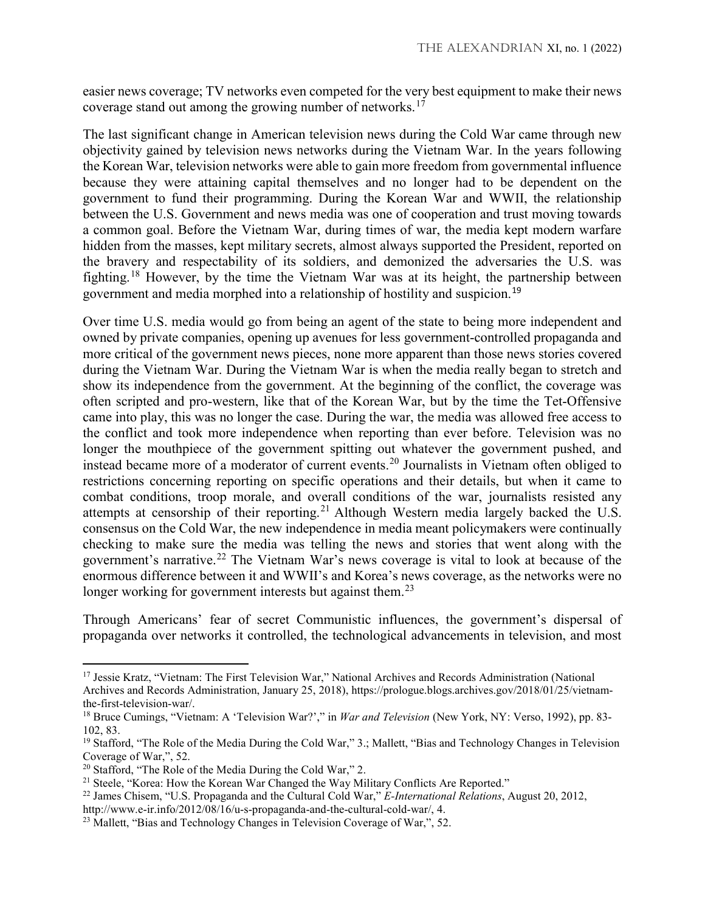easier news coverage; TV networks even competed for the very best equipment to make their news coverage stand out among the growing number of networks.<sup>[17](#page-4-0)</sup>

The last significant change in American television news during the Cold War came through new objectivity gained by television news networks during the Vietnam War. In the years following the Korean War, television networks were able to gain more freedom from governmental influence because they were attaining capital themselves and no longer had to be dependent on the government to fund their programming. During the Korean War and WWII, the relationship between the U.S. Government and news media was one of cooperation and trust moving towards a common goal. Before the Vietnam War, during times of war, the media kept modern warfare hidden from the masses, kept military secrets, almost always supported the President, reported on the bravery and respectability of its soldiers, and demonized the adversaries the U.S. was fighting.[18](#page-4-1) However, by the time the Vietnam War was at its height, the partnership between government and media morphed into a relationship of hostility and suspicion.[19](#page-4-2)

Over time U.S. media would go from being an agent of the state to being more independent and owned by private companies, opening up avenues for less government-controlled propaganda and more critical of the government news pieces, none more apparent than those news stories covered during the Vietnam War. During the Vietnam War is when the media really began to stretch and show its independence from the government. At the beginning of the conflict, the coverage was often scripted and pro-western, like that of the Korean War, but by the time the Tet-Offensive came into play, this was no longer the case. During the war, the media was allowed free access to the conflict and took more independence when reporting than ever before. Television was no longer the mouthpiece of the government spitting out whatever the government pushed, and instead became more of a moderator of current events.[20](#page-4-3) Journalists in Vietnam often obliged to restrictions concerning reporting on specific operations and their details, but when it came to combat conditions, troop morale, and overall conditions of the war, journalists resisted any attempts at censorship of their reporting.<sup>[21](#page-4-4)</sup> Although Western media largely backed the U.S. consensus on the Cold War, the new independence in media meant policymakers were continually checking to make sure the media was telling the news and stories that went along with the government's narrative.[22](#page-4-5) The Vietnam War's news coverage is vital to look at because of the enormous difference between it and WWII's and Korea's news coverage, as the networks were no longer working for government interests but against them.<sup>[23](#page-4-6)</sup>

Through Americans' fear of secret Communistic influences, the government's dispersal of propaganda over networks it controlled, the technological advancements in television, and most

 $\overline{a}$ 

<span id="page-4-0"></span><sup>17</sup> Jessie Kratz, "Vietnam: The First Television War," National Archives and Records Administration (National Archives and Records Administration, January 25, 2018), https://prologue.blogs.archives.gov/2018/01/25/vietnamthe-first-television-war/.

<span id="page-4-1"></span><sup>18</sup> Bruce Cumings, "Vietnam: A 'Television War?'," in *War and Television* (New York, NY: Verso, 1992), pp. 83- 102, 83.

<span id="page-4-2"></span><sup>&</sup>lt;sup>19</sup> Stafford, "The Role of the Media During the Cold War," 3.; Mallett, "Bias and Technology Changes in Television Coverage of War,", 52.

<span id="page-4-3"></span> $20$  Stafford, "The Role of the Media During the Cold War," 2.

<span id="page-4-4"></span><sup>&</sup>lt;sup>21</sup> Steele, "Korea: How the Korean War Changed the Way Military Conflicts Are Reported."

<span id="page-4-5"></span><sup>22</sup> James Chisem, "U.S. Propaganda and the Cultural Cold War," *E-International Relations*, August 20, 2012,

http://www.e-ir.info/2012/08/16/u-s-propaganda-and-the-cultural-cold-war/, 4.

<span id="page-4-6"></span><sup>&</sup>lt;sup>23</sup> Mallett, "Bias and Technology Changes in Television Coverage of War,", 52.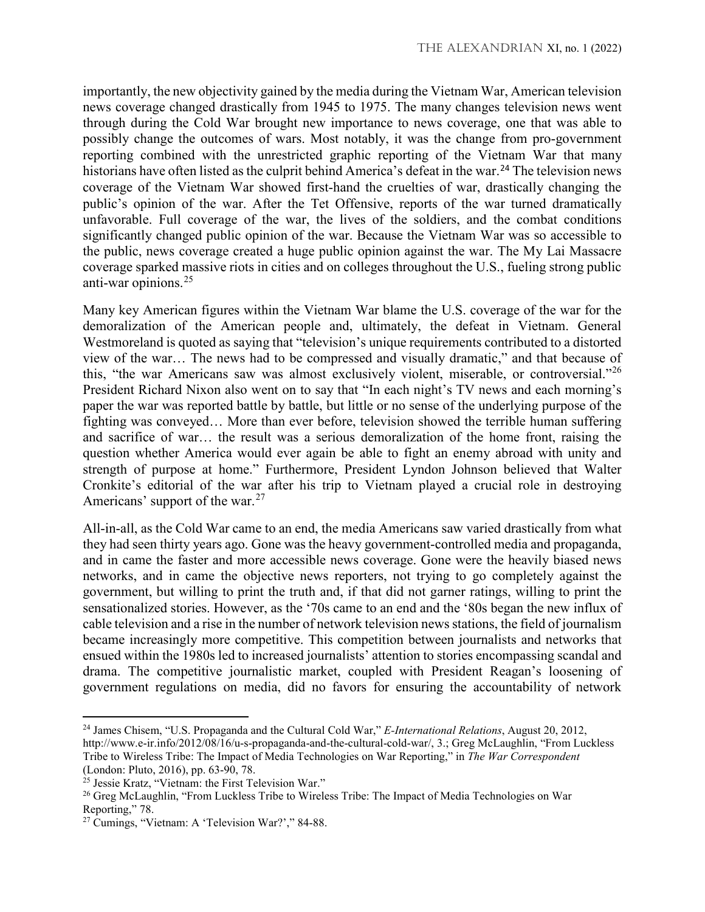importantly, the new objectivity gained by the media during the Vietnam War, American television news coverage changed drastically from 1945 to 1975. The many changes television news went through during the Cold War brought new importance to news coverage, one that was able to possibly change the outcomes of wars. Most notably, it was the change from pro-government reporting combined with the unrestricted graphic reporting of the Vietnam War that many historians have often listed as the culprit behind America's defeat in the war.<sup>[24](#page-5-0)</sup> The television news coverage of the Vietnam War showed first-hand the cruelties of war, drastically changing the public's opinion of the war. After the Tet Offensive, reports of the war turned dramatically unfavorable. Full coverage of the war, the lives of the soldiers, and the combat conditions significantly changed public opinion of the war. Because the Vietnam War was so accessible to the public, news coverage created a huge public opinion against the war. The My Lai Massacre coverage sparked massive riots in cities and on colleges throughout the U.S., fueling strong public anti-war opinions.[25](#page-5-1)

Many key American figures within the Vietnam War blame the U.S. coverage of the war for the demoralization of the American people and, ultimately, the defeat in Vietnam. General Westmoreland is quoted as saying that "television's unique requirements contributed to a distorted view of the war… The news had to be compressed and visually dramatic," and that because of this, "the war Americans saw was almost exclusively violent, miserable, or controversial."[26](#page-5-2) President Richard Nixon also went on to say that "In each night's TV news and each morning's paper the war was reported battle by battle, but little or no sense of the underlying purpose of the fighting was conveyed… More than ever before, television showed the terrible human suffering and sacrifice of war… the result was a serious demoralization of the home front, raising the question whether America would ever again be able to fight an enemy abroad with unity and strength of purpose at home." Furthermore, President Lyndon Johnson believed that Walter Cronkite's editorial of the war after his trip to Vietnam played a crucial role in destroying Americans' support of the war.  $27$ 

All-in-all, as the Cold War came to an end, the media Americans saw varied drastically from what they had seen thirty years ago. Gone was the heavy government-controlled media and propaganda, and in came the faster and more accessible news coverage. Gone were the heavily biased news networks, and in came the objective news reporters, not trying to go completely against the government, but willing to print the truth and, if that did not garner ratings, willing to print the sensationalized stories. However, as the '70s came to an end and the '80s began the new influx of cable television and a rise in the number of network television news stations, the field of journalism became increasingly more competitive. This competition between journalists and networks that ensued within the 1980s led to increased journalists' attention to stories encompassing scandal and drama. The competitive journalistic market, coupled with President Reagan's loosening of government regulations on media, did no favors for ensuring the accountability of network

l

<span id="page-5-0"></span><sup>24</sup> James Chisem, "U.S. Propaganda and the Cultural Cold War," *E-International Relations*, August 20, 2012, http://www.e-ir.info/2012/08/16/u-s-propaganda-and-the-cultural-cold-war/, 3.; Greg McLaughlin, "From Luckless Tribe to Wireless Tribe: The Impact of Media Technologies on War Reporting," in *The War Correspondent* (London: Pluto, 2016), pp. 63-90, 78.

<span id="page-5-1"></span><sup>&</sup>lt;sup>25</sup> Jessie Kratz, "Vietnam: the First Television War."

<span id="page-5-2"></span><sup>&</sup>lt;sup>26</sup> Greg McLaughlin, "From Luckless Tribe to Wireless Tribe: The Impact of Media Technologies on War Reporting," 78.

<span id="page-5-3"></span><sup>27</sup> Cumings, "Vietnam: A 'Television War?'," 84-88.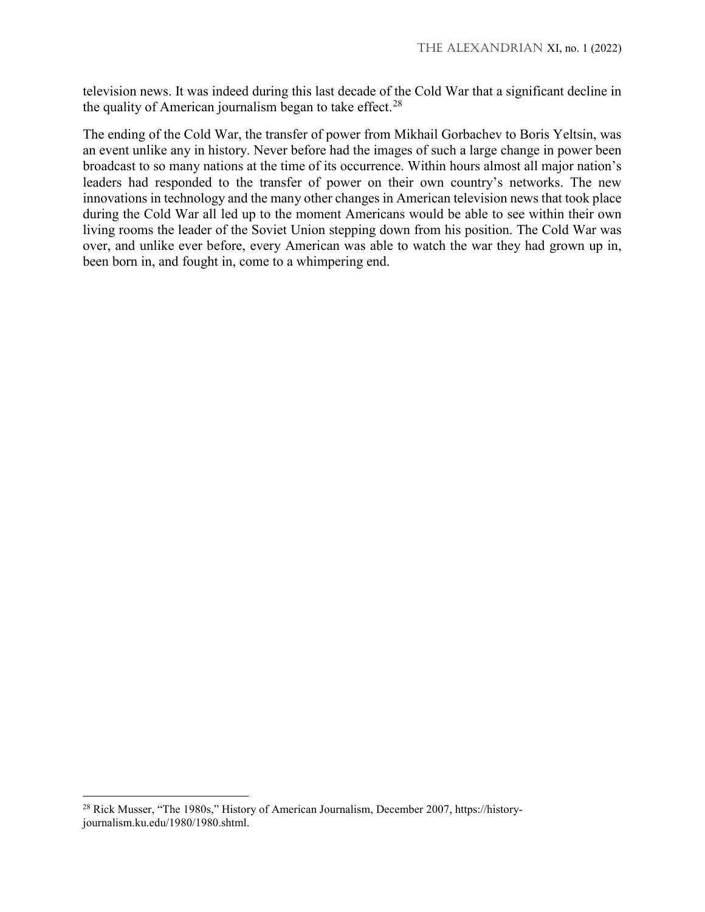television news. It was indeed during this last decade of the Cold War that a significant decline in the quality of American journalism began to take effect.<sup>[28](#page-6-0)</sup>

The ending of the Cold War, the transfer of power from Mikhail Gorbachev to Boris Yeltsin, was an event unlike any in history. Never before had the images of such a large change in power been broadcast to so many nations at the time of its occurrence. Within hours almost all major nation's leaders had responded to the transfer of power on their own country's networks. The new innovations in technology and the many other changes in American television news that took place during the Cold War all led up to the moment Americans would be able to see within their own living rooms the leader of the Soviet Union stepping down from his position. The Cold War was over, and unlike ever before, every American was able to watch the war they had grown up in, been born in, and fought in, come to a whimpering end.

l

<span id="page-6-0"></span><sup>&</sup>lt;sup>28</sup> Rick Musser, "The 1980s," History of American Journalism, December 2007, https://historyjournalism.ku.edu/1980/1980.shtml.